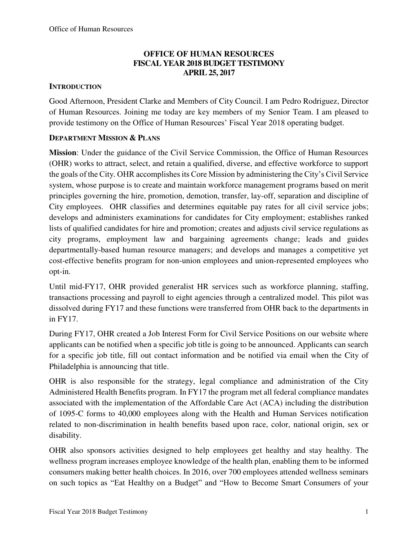### **OFFICE OF HUMAN RESOURCES FISCAL YEAR 2018 BUDGET TESTIMONY APRIL 25, 2017**

### **INTRODUCTION**

Good Afternoon, President Clarke and Members of City Council. I am Pedro Rodriguez, Director of Human Resources. Joining me today are key members of my Senior Team. I am pleased to provide testimony on the Office of Human Resources' Fiscal Year 2018 operating budget.

### **DEPARTMENT MISSION & PLANS**

**Mission**: Under the guidance of the Civil Service Commission, the Office of Human Resources (OHR) works to attract, select, and retain a qualified, diverse, and effective workforce to support the goals of the City. OHR accomplishes its Core Mission by administering the City's Civil Service system, whose purpose is to create and maintain workforce management programs based on merit principles governing the hire, promotion, demotion, transfer, lay-off, separation and discipline of City employees. OHR classifies and determines equitable pay rates for all civil service jobs; develops and administers examinations for candidates for City employment; establishes ranked lists of qualified candidates for hire and promotion; creates and adjusts civil service regulations as city programs, employment law and bargaining agreements change; leads and guides departmentally-based human resource managers; and develops and manages a competitive yet cost-effective benefits program for non-union employees and union-represented employees who opt-in.

Until mid-FY17, OHR provided generalist HR services such as workforce planning, staffing, transactions processing and payroll to eight agencies through a centralized model. This pilot was dissolved during FY17 and these functions were transferred from OHR back to the departments in in FY17.

During FY17, OHR created a Job Interest Form for Civil Service Positions on our website where applicants can be notified when a specific job title is going to be announced. Applicants can search for a specific job title, fill out contact information and be notified via email when the City of Philadelphia is announcing that title.

OHR is also responsible for the strategy, legal compliance and administration of the City Administered Health Benefits program. In FY17 the program met all federal compliance mandates associated with the implementation of the Affordable Care Act (ACA) including the distribution of 1095-C forms to 40,000 employees along with the Health and Human Services notification related to non-discrimination in health benefits based upon race, color, national origin, sex or disability.

OHR also sponsors activities designed to help employees get healthy and stay healthy. The wellness program increases employee knowledge of the health plan, enabling them to be informed consumers making better health choices. In 2016, over 700 employees attended wellness seminars on such topics as "Eat Healthy on a Budget" and "How to Become Smart Consumers of your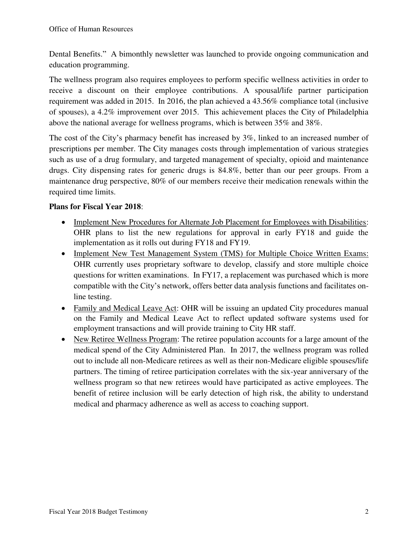Dental Benefits." A bimonthly newsletter was launched to provide ongoing communication and education programming.

The wellness program also requires employees to perform specific wellness activities in order to receive a discount on their employee contributions. A spousal/life partner participation requirement was added in 2015. In 2016, the plan achieved a 43.56% compliance total (inclusive of spouses), a 4.2% improvement over 2015. This achievement places the City of Philadelphia above the national average for wellness programs, which is between 35% and 38%.

The cost of the City's pharmacy benefit has increased by 3%, linked to an increased number of prescriptions per member. The City manages costs through implementation of various strategies such as use of a drug formulary, and targeted management of specialty, opioid and maintenance drugs. City dispensing rates for generic drugs is 84.8%, better than our peer groups. From a maintenance drug perspective, 80% of our members receive their medication renewals within the required time limits.

### **Plans for Fiscal Year 2018**:

- Implement New Procedures for Alternate Job Placement for Employees with Disabilities: OHR plans to list the new regulations for approval in early FY18 and guide the implementation as it rolls out during FY18 and FY19.
- Implement New Test Management System (TMS) for Multiple Choice Written Exams: OHR currently uses proprietary software to develop, classify and store multiple choice questions for written examinations. In FY17, a replacement was purchased which is more compatible with the City's network, offers better data analysis functions and facilitates online testing.
- Family and Medical Leave Act: OHR will be issuing an updated City procedures manual on the Family and Medical Leave Act to reflect updated software systems used for employment transactions and will provide training to City HR staff.
- New Retiree Wellness Program: The retiree population accounts for a large amount of the medical spend of the City Administered Plan. In 2017, the wellness program was rolled out to include all non-Medicare retirees as well as their non-Medicare eligible spouses/life partners. The timing of retiree participation correlates with the six-year anniversary of the wellness program so that new retirees would have participated as active employees. The benefit of retiree inclusion will be early detection of high risk, the ability to understand medical and pharmacy adherence as well as access to coaching support.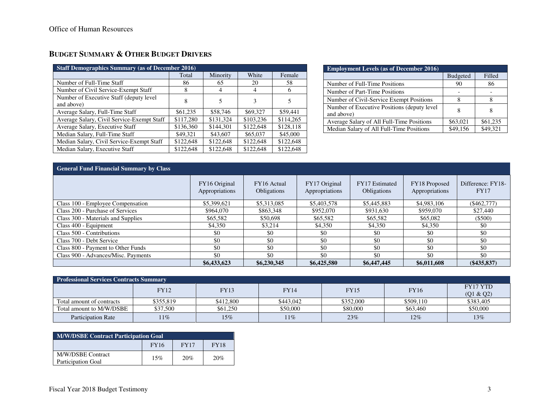## **BUDGET SUMMARY & OTHER BUDGET DRIVERS**

| <b>Staff Demographics Summary (as of December 2016)</b> |           |           |           |           |  |  |  |  |  |
|---------------------------------------------------------|-----------|-----------|-----------|-----------|--|--|--|--|--|
|                                                         | Total     | Minority  | White     | Female    |  |  |  |  |  |
| Number of Full-Time Staff                               | 86        | 65        | 20        | 58        |  |  |  |  |  |
| Number of Civil Service-Exempt Staff                    | 8         | 4         | 4         | 6         |  |  |  |  |  |
| Number of Executive Staff (deputy level                 | 8         |           |           |           |  |  |  |  |  |
| and above)                                              |           |           |           |           |  |  |  |  |  |
| Average Salary, Full-Time Staff                         | \$61,235  | \$58,746  | \$69,327  | \$59,441  |  |  |  |  |  |
| Average Salary, Civil Service-Exempt Staff              | \$117,280 | \$131,324 | \$103,236 | \$114,265 |  |  |  |  |  |
| Average Salary, Executive Staff                         | \$136,360 | \$144,301 | \$122,648 | \$128,118 |  |  |  |  |  |
| Median Salary, Full-Time Staff                          | \$49,321  | \$43,607  | \$65,037  | \$45,000  |  |  |  |  |  |
| Median Salary, Civil Service-Exempt Staff               | \$122,648 | \$122,648 | \$122,648 | \$122,648 |  |  |  |  |  |
| Median Salary, Executive Staff                          | \$122,648 | \$122,648 | \$122,648 | \$122,648 |  |  |  |  |  |

| <b>Employment Levels (as of December 2016)</b>             |                 |          |  |  |  |  |  |  |
|------------------------------------------------------------|-----------------|----------|--|--|--|--|--|--|
|                                                            | <b>Budgeted</b> | Filled   |  |  |  |  |  |  |
| Number of Full-Time Positions                              | 90              | 86       |  |  |  |  |  |  |
| Number of Part-Time Positions                              |                 |          |  |  |  |  |  |  |
| Number of Civil-Service Exempt Positions                   | 8               |          |  |  |  |  |  |  |
| Number of Executive Positions (deputy level)<br>and above) | 8               | 8        |  |  |  |  |  |  |
| Average Salary of All Full-Time Positions                  | \$63,021        | \$61,235 |  |  |  |  |  |  |
| Median Salary of All Full-Time Positions                   | \$49.156        | \$49,321 |  |  |  |  |  |  |

| <b>General Fund Financial Summary by Class</b> |                                 |                                   |                                 |                                             |                                 |                                  |  |  |  |
|------------------------------------------------|---------------------------------|-----------------------------------|---------------------------------|---------------------------------------------|---------------------------------|----------------------------------|--|--|--|
|                                                | FY16 Original<br>Appropriations | FY16 Actual<br><b>Obligations</b> | FY17 Original<br>Appropriations | <b>FY17</b> Estimated<br><b>Obligations</b> | FY18 Proposed<br>Appropriations | Difference: FY18-<br><b>FY17</b> |  |  |  |
| Class 100 - Employee Compensation              | \$5,399,621                     | \$5,313,085                       | \$5,403,578                     | \$5,445,883                                 | \$4,983,106                     | (S462.777)                       |  |  |  |
| Class 200 - Purchase of Services               | \$964,070                       | \$863,348                         | \$952,070                       | \$931,630                                   | \$959,070                       | \$27,440                         |  |  |  |
| Class 300 - Materials and Supplies             | \$65,582                        | \$50,698                          | \$65,582                        | \$65,582                                    | \$65,082                        | $($ \$500)                       |  |  |  |
| Class 400 - Equipment                          | \$4,350                         | \$3,214                           | \$4,350                         | \$4,350                                     | \$4,350                         | \$0                              |  |  |  |
| Class 500 - Contributions                      | \$0                             | \$0                               | \$0                             | \$0                                         | \$0                             | \$0                              |  |  |  |
| Class 700 - Debt Service                       | \$0                             | \$0                               | \$0                             | \$0                                         | \$0                             | \$0                              |  |  |  |
| Class 800 - Payment to Other Funds             | \$0                             | \$0                               | \$0                             | \$0                                         | \$0                             | \$0                              |  |  |  |
| Class 900 - Advances/Misc. Payments            | \$0                             | \$0                               | \$0                             | \$0                                         | \$0                             | -\$0                             |  |  |  |
|                                                | \$6,433,623                     | \$6,230,345                       | \$6,425,580                     | \$6,447,445                                 | \$6,011,608                     | $(\$435,837)$                    |  |  |  |

| <b>Professional Services Contracts Summary</b> |           |           |             |             |             |                       |  |  |  |
|------------------------------------------------|-----------|-----------|-------------|-------------|-------------|-----------------------|--|--|--|
|                                                | FY12      | FY13      | <b>FY14</b> | <b>FY15</b> | <b>FY16</b> | FY17 YTD<br>(Q1 & Q2) |  |  |  |
| Total amount of contracts                      | \$355.819 | \$412,800 | \$443,042   | \$352,000   | \$509,110   | \$383,405             |  |  |  |
| Total amount to M/W/DSBE                       | \$37,500  | \$61,250  | \$50.000    | \$80.000    | \$63,460    | \$50,000              |  |  |  |
| <b>Participation Rate</b>                      | $11\%$    | 15%       | 11%         | 23%         | 12%         | 13%                   |  |  |  |

| <b>M/W/DSBE Contract Participation Goal</b>    |     |     |     |  |  |  |  |  |
|------------------------------------------------|-----|-----|-----|--|--|--|--|--|
| <b>FY16</b><br><b>FY17</b><br><b>FY18</b>      |     |     |     |  |  |  |  |  |
| M/W/DSBE Contract<br><b>Participation Goal</b> | 15% | 20% | 20% |  |  |  |  |  |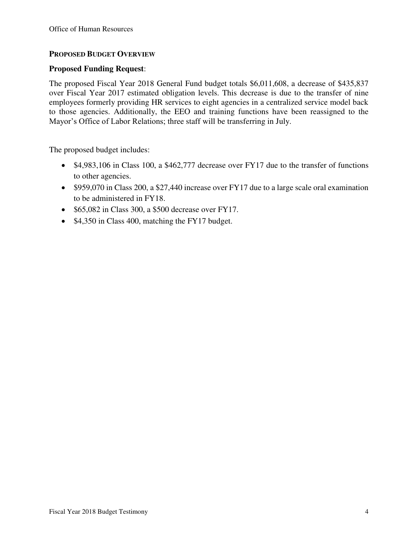#### **PROPOSED BUDGET OVERVIEW**

#### **Proposed Funding Request**:

The proposed Fiscal Year 2018 General Fund budget totals \$6,011,608, a decrease of \$435,837 over Fiscal Year 2017 estimated obligation levels. This decrease is due to the transfer of nine employees formerly providing HR services to eight agencies in a centralized service model back to those agencies. Additionally, the EEO and training functions have been reassigned to the Mayor's Office of Labor Relations; three staff will be transferring in July.

The proposed budget includes:

- \$4,983,106 in Class 100, a \$462,777 decrease over FY17 due to the transfer of functions to other agencies.
- \$959,070 in Class 200, a \$27,440 increase over FY17 due to a large scale oral examination to be administered in FY18.
- $\bullet$  \$65,082 in Class 300, a \$500 decrease over FY17.
- \$4,350 in Class 400, matching the FY17 budget.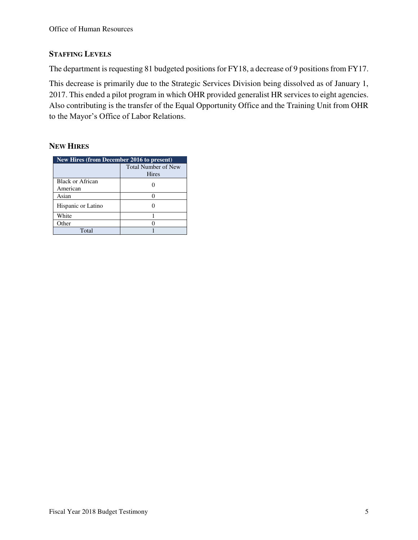#### **STAFFING LEVELS**

The department is requesting 81 budgeted positions for FY18, a decrease of 9 positions from FY17.

This decrease is primarily due to the Strategic Services Division being dissolved as of January 1, 2017. This ended a pilot program in which OHR provided generalist HR services to eight agencies. Also contributing is the transfer of the Equal Opportunity Office and the Training Unit from OHR to the Mayor's Office of Labor Relations.

### **NEW HIRES**

| New Hires (from December 2016 to present) |                                     |  |  |  |  |  |
|-------------------------------------------|-------------------------------------|--|--|--|--|--|
|                                           | <b>Total Number of New</b><br>Hires |  |  |  |  |  |
| Black or African<br>American              |                                     |  |  |  |  |  |
| Asian                                     |                                     |  |  |  |  |  |
| Hispanic or Latino                        |                                     |  |  |  |  |  |
| White                                     |                                     |  |  |  |  |  |
| Other                                     |                                     |  |  |  |  |  |
| Total                                     |                                     |  |  |  |  |  |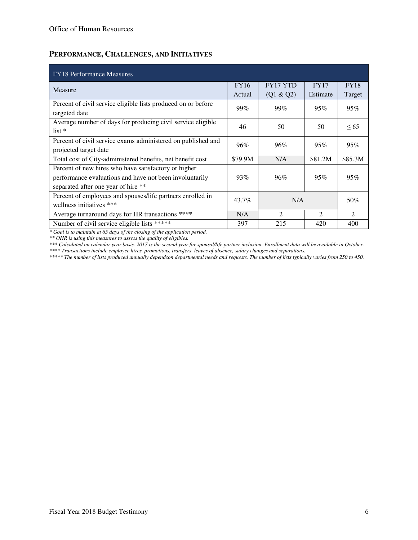### **PERFORMANCE, CHALLENGES, AND INITIATIVES**

| <b>FY18 Performance Measures</b>                              |             |                 |                |                |  |  |  |  |
|---------------------------------------------------------------|-------------|-----------------|----------------|----------------|--|--|--|--|
| Measure                                                       | <b>FY16</b> | <b>FY17 YTD</b> | <b>FY17</b>    | <b>FY18</b>    |  |  |  |  |
|                                                               | Actual      | (Q1 & Q2)       | Estimate       | Target         |  |  |  |  |
| Percent of civil service eligible lists produced on or before | 99%         | 99%             | 95%            | 95%            |  |  |  |  |
| targeted date                                                 |             |                 |                |                |  |  |  |  |
| Average number of days for producing civil service eligible   | 46          | 50              | 50             | <65            |  |  |  |  |
| $list *$                                                      |             |                 |                |                |  |  |  |  |
| Percent of civil service exams administered on published and  | 96%         | 96%             | 95%            | 95%            |  |  |  |  |
| projected target date                                         |             |                 |                |                |  |  |  |  |
| Total cost of City-administered benefits, net benefit cost    | \$79.9M     | N/A             | \$81.2M        | \$85.3M        |  |  |  |  |
| Percent of new hires who have satisfactory or higher          |             |                 |                |                |  |  |  |  |
| performance evaluations and have not been involuntarily       | 93%         | 96%             | 95%            | 95%            |  |  |  |  |
| separated after one year of hire **                           |             |                 |                |                |  |  |  |  |
| Percent of employees and spouses/life partners enrolled in    | $43.7\%$    | N/A             |                | 50%            |  |  |  |  |
| wellness initiatives ***                                      |             |                 |                |                |  |  |  |  |
| Average turnaround days for HR transactions ****              | N/A         | 2               | $\mathfrak{D}$ | $\mathfrak{D}$ |  |  |  |  |
| Number of civil service eligible lists *****                  | 397         | 215             | 420            | 400            |  |  |  |  |

*\* Goal is to maintain at 65 days of the closing of the application period.* 

*\*\* OHR is using this measures to assess the quality of eligibles.* 

*\*\*\* Calculated on calendar year basis. 2017 is the second year for spousal/life partner inclusion. Enrollment data will be available in October. \*\*\*\* Transactions include employee hires, promotions, transfers, leaves of absence, salary changes and separations.* 

*\*\*\*\*\* The number of lists produced annually dependson departmental needs and requests. The number of lists typically varies from 250 to 450.*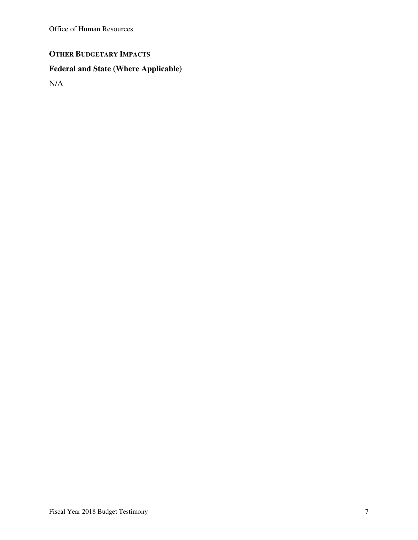Office of Human Resources

# **OTHER BUDGETARY IMPACTS**

# **Federal and State (Where Applicable)**

N/A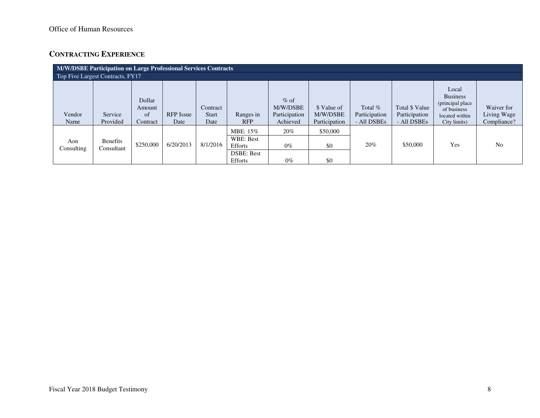### **CONTRACTING EXPERIENCE**

| M/W/DSBE Participation on Large Professional Services Contracts |                                  |                                    |                          |                                  |                                                                  |                                                 |                                          |                                           |                                                |                                                                                               |                                          |
|-----------------------------------------------------------------|----------------------------------|------------------------------------|--------------------------|----------------------------------|------------------------------------------------------------------|-------------------------------------------------|------------------------------------------|-------------------------------------------|------------------------------------------------|-----------------------------------------------------------------------------------------------|------------------------------------------|
|                                                                 | Top Five Largest Contracts, FY17 |                                    |                          |                                  |                                                                  |                                                 |                                          |                                           |                                                |                                                                                               |                                          |
| Vendor<br>Name                                                  | Service<br>Provided              | Dollar<br>Amount<br>of<br>Contract | <b>RFP</b> Issue<br>Date | Contract<br><b>Start</b><br>Date | Ranges in<br><b>RFP</b>                                          | $%$ of<br>M/W/DSBE<br>Participation<br>Achieved | \$ Value of<br>M/W/DSBE<br>Participation | Total $%$<br>Participation<br>- All DSBEs | Total \$ Value<br>Participation<br>- All DSBEs | Local<br><b>Business</b><br>(principal place<br>of business<br>located within<br>City limits) | Waiver for<br>Living Wage<br>Compliance? |
| Aon<br>Consulting                                               | <b>Benefits</b><br>Consultant    | \$250,000                          | 6/20/2013                | 8/1/2016                         | MBE: 15%<br>WBE: Best<br>Efforts<br><b>DSBE: Best</b><br>Efforts | 20%<br>$0\%$<br>$0\%$                           | \$50,000<br>\$0<br>\$0                   | 20%                                       | \$50,000                                       | Yes                                                                                           | N <sub>0</sub>                           |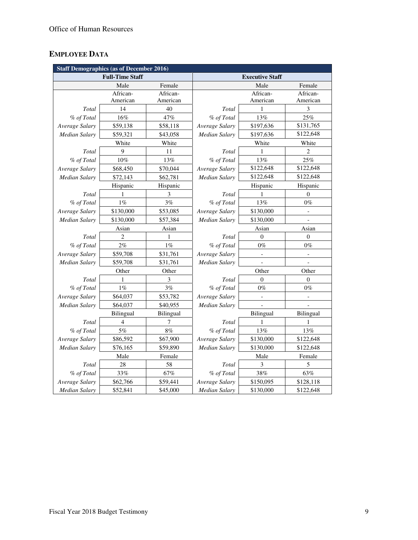## **EMPLOYEE DATA**

|                      | <b>Staff Demographics (as of December 2016)</b> |           |                        |                          |                  |  |  |
|----------------------|-------------------------------------------------|-----------|------------------------|--------------------------|------------------|--|--|
|                      | <b>Full-Time Staff</b>                          |           | <b>Executive Staff</b> |                          |                  |  |  |
|                      | Male                                            | Female    |                        | Male                     | Female           |  |  |
|                      | African-                                        | African-  |                        | African-                 | African-         |  |  |
|                      | American                                        | American  |                        | American                 | American         |  |  |
| Total                | 14                                              | 40        | Total                  | 1                        | 3                |  |  |
| % of Total           | 16%                                             | 47%       | % of Total             | 13%                      | 25%              |  |  |
| Average Salary       | \$59,138                                        | \$58,118  | Average Salary         | \$197,636                | \$131,765        |  |  |
| <b>Median Salary</b> | \$59,321                                        | \$43,058  | <b>Median Salary</b>   | \$197,636                | \$122,648        |  |  |
|                      | White                                           | White     |                        | White                    | White            |  |  |
| Total                | 9                                               | 11        | Total                  | 1                        | $\overline{c}$   |  |  |
| % of Total           | 10%                                             | 13%       | % of Total             | 13%                      | 25%              |  |  |
| Average Salary       | \$68,450                                        | \$70,044  | Average Salary         | \$122,648                | \$122,648        |  |  |
| Median Salary        | \$72,143                                        | \$62,781  | Median Salary          | \$122,648                | \$122,648        |  |  |
|                      | Hispanic                                        | Hispanic  |                        | Hispanic                 | Hispanic         |  |  |
| Total                | 1                                               | 3         | Total                  | 1                        | $\theta$         |  |  |
| % of Total           | $1\%$                                           | 3%        | % of Total             | 13%                      | $0\%$            |  |  |
| Average Salary       | \$130,000                                       | \$53,085  | Average Salary         | \$130,000                | $\blacksquare$   |  |  |
| <b>Median Salary</b> | \$130,000                                       | \$57,384  | Median Salary          | \$130,000                |                  |  |  |
|                      | Asian                                           | Asian     |                        | Asian                    | Asian            |  |  |
| Total                | $\overline{c}$                                  | 1         | Total                  | $\theta$                 | $\boldsymbol{0}$ |  |  |
| % of Total           | $2\%$                                           | $1\%$     | % of Total             | $0\%$                    | $0\%$            |  |  |
| Average Salary       | \$59,708                                        | \$31,761  | Average Salary         | $\overline{\phantom{a}}$ |                  |  |  |
| Median Salary        | \$59,708                                        | \$31,761  | Median Salary          |                          |                  |  |  |
|                      | Other                                           | Other     |                        | Other                    | Other            |  |  |
| Total                | 1                                               | 3         | Total                  | $\Omega$                 | $\theta$         |  |  |
| % of Total           | $1\%$                                           | 3%        | % of Total             | $0\%$                    | $0\%$            |  |  |
| Average Salary       | \$64,037                                        | \$53,782  | Average Salary         |                          |                  |  |  |
| Median Salary        | \$64,037                                        | \$40,955  | Median Salary          |                          |                  |  |  |
|                      | Bilingual                                       | Bilingual |                        | Bilingual                | Bilingual        |  |  |
| Total                | $\overline{4}$                                  | 7         | Total                  | 1                        | 1                |  |  |
| % of Total           | 5%                                              | $8\%$     | % of Total             | 13%                      | 13%              |  |  |
| Average Salary       | \$86,592                                        | \$67,900  | Average Salary         | \$130,000                | \$122,648        |  |  |
| Median Salary        | \$76,165                                        | \$59,890  | <b>Median Salary</b>   | \$130,000                | \$122,648        |  |  |
|                      | Male                                            | Female    |                        | Male                     | Female           |  |  |
| Total                | 28                                              | 58        | Total                  | 3                        | 5                |  |  |
| % of Total           | 33%                                             | $67\%$    | % of Total             | 38%                      | 63%              |  |  |
| Average Salary       | \$62,766                                        | \$59,441  | Average Salary         | \$150,095                | \$128,118        |  |  |
| Median Salary        | \$52,841                                        | \$45,000  | Median Salary          | \$130,000                | \$122,648        |  |  |